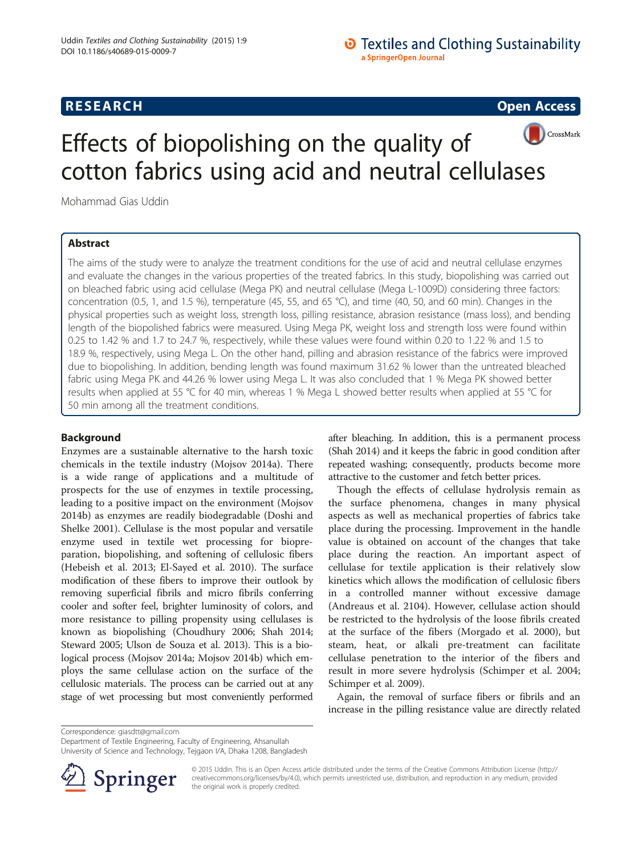# **O** Textiles and Clothing Sustainability a SpringerOpen Journal

# **RESEARCH RESEARCH CONSUMING ACCESS**



# Effects of biopolishing on the quality of cotton fabrics using acid and neutral cellulases

Mohammad Gias Uddin

# Abstract

The aims of the study were to analyze the treatment conditions for the use of acid and neutral cellulase enzymes and evaluate the changes in the various properties of the treated fabrics. In this study, biopolishing was carried out on bleached fabric using acid cellulase (Mega PK) and neutral cellulase (Mega L-1009D) considering three factors: concentration (0.5, 1, and 1.5 %), temperature (45, 55, and 65 °C), and time (40, 50, and 60 min). Changes in the physical properties such as weight loss, strength loss, pilling resistance, abrasion resistance (mass loss), and bending length of the biopolished fabrics were measured. Using Mega PK, weight loss and strength loss were found within 0.25 to 1.42 % and 1.7 to 24.7 %, respectively, while these values were found within 0.20 to 1.22 % and 1.5 to 18.9 %, respectively, using Mega L. On the other hand, pilling and abrasion resistance of the fabrics were improved due to biopolishing. In addition, bending length was found maximum 31.62 % lower than the untreated bleached fabric using Mega PK and 44.26 % lower using Mega L. It was also concluded that 1 % Mega PK showed better results when applied at 55 °C for 40 min, whereas 1 % Mega L showed better results when applied at 55 °C for 50 min among all the treatment conditions.

# Background

Enzymes are a sustainable alternative to the harsh toxic chemicals in the textile industry (Mojsov [2014a\)](#page-9-0). There is a wide range of applications and a multitude of prospects for the use of enzymes in textile processing, leading to a positive impact on the environment (Mojsov [2014b](#page-9-0)) as enzymes are readily biodegradable (Doshi and Shelke [2001](#page-9-0)). Cellulase is the most popular and versatile enzyme used in textile wet processing for biopreparation, biopolishing, and softening of cellulosic fibers (Hebeish et al. [2013](#page-9-0); El-Sayed et al. [2010\)](#page-9-0). The surface modification of these fibers to improve their outlook by removing superficial fibrils and micro fibrils conferring cooler and softer feel, brighter luminosity of colors, and more resistance to pilling propensity using cellulases is known as biopolishing (Choudhury [2006;](#page-9-0) Shah [2014](#page-9-0); Steward [2005;](#page-9-0) Ulson de Souza et al. [2013](#page-9-0)). This is a biological process (Mojsov [2014a](#page-9-0); Mojsov [2014b\)](#page-9-0) which employs the same cellulase action on the surface of the cellulosic materials. The process can be carried out at any stage of wet processing but most conveniently performed

after bleaching. In addition, this is a permanent process (Shah [2014](#page-9-0)) and it keeps the fabric in good condition after repeated washing; consequently, products become more attractive to the customer and fetch better prices.

Though the effects of cellulase hydrolysis remain as the surface phenomena, changes in many physical aspects as well as mechanical properties of fabrics take place during the processing. Improvement in the handle value is obtained on account of the changes that take place during the reaction. An important aspect of cellulase for textile application is their relatively slow kinetics which allows the modification of cellulosic fibers in a controlled manner without excessive damage ([Andreaus et al. 2104](#page-9-0)). However, cellulase action should be restricted to the hydrolysis of the loose fibrils created at the surface of the fibers (Morgado et al. [2000](#page-9-0)), but steam, heat, or alkali pre-treatment can facilitate cellulase penetration to the interior of the fibers and result in more severe hydrolysis (Schimper et al. [2004](#page-9-0); Schimper et al. [2009\)](#page-9-0).

Again, the removal of surface fibers or fibrils and an increase in the pilling resistance value are directly related

Correspondence: [giasdtt@gmail.com](mailto:giasdtt@gmail.com)

Department of Textile Engineering, Faculty of Engineering, Ahsanullah

University of Science and Technology, Tejgaon I/A, Dhaka 1208, Bangladesh



© 2015 Uddin. This is an Open Access article distributed under the terms of the Creative Commons Attribution License ([http://](http://creativecommons.org/licenses/by/4.0) [creativecommons.org/licenses/by/4.0\)](http://creativecommons.org/licenses/by/4.0), which permits unrestricted use, distribution, and reproduction in any medium, provided the original work is properly credited.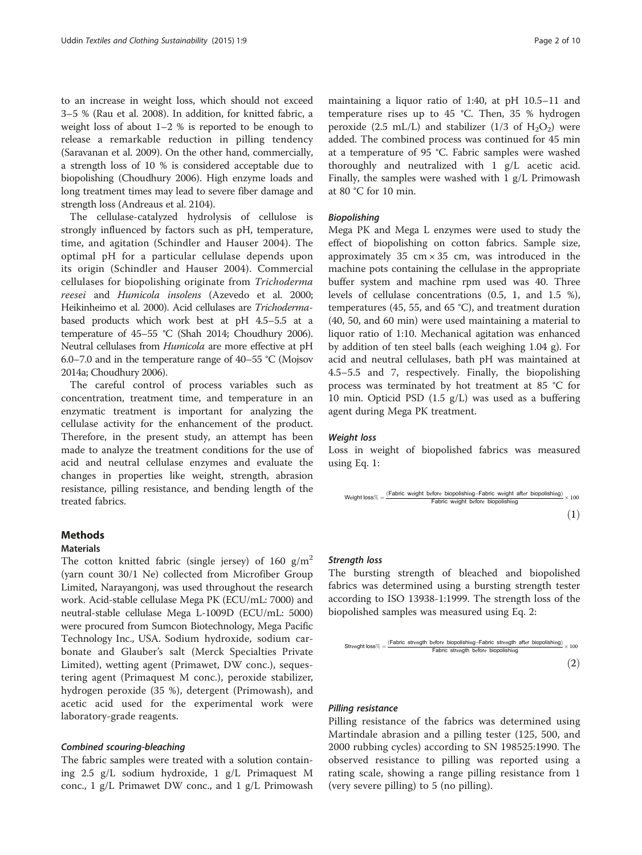to an increase in weight loss, which should not exceed 3–5 % (Rau et al. [2008](#page-9-0)). In addition, for knitted fabric, a weight loss of about 1–2 % is reported to be enough to release a remarkable reduction in pilling tendency (Saravanan et al. [2009](#page-9-0)). On the other hand, commercially, a strength loss of 10 % is considered acceptable due to biopolishing (Choudhury [2006](#page-9-0)). High enzyme loads and long treatment times may lead to severe fiber damage and strength loss ([Andreaus et al. 2104](#page-9-0)).

The cellulase-catalyzed hydrolysis of cellulose is strongly influenced by factors such as pH, temperature, time, and agitation (Schindler and Hauser [2004](#page-9-0)). The optimal pH for a particular cellulase depends upon its origin (Schindler and Hauser [2004\)](#page-9-0). Commercial cellulases for biopolishing originate from Trichoderma reesei and Humicola insolens (Azevedo et al. [2000](#page-9-0); Heikinheimo et al. [2000\)](#page-9-0). Acid cellulases are Trichodermabased products which work best at pH 4.5–5.5 at a temperature of 45–55 °C (Shah [2014;](#page-9-0) Choudhury [2006](#page-9-0)). Neutral cellulases from Humicola are more effective at pH 6.0–7.0 and in the temperature range of 40–55 °C (Mojsov [2014a;](#page-9-0) Choudhury [2006\)](#page-9-0).

The careful control of process variables such as concentration, treatment time, and temperature in an enzymatic treatment is important for analyzing the cellulase activity for the enhancement of the product. Therefore, in the present study, an attempt has been made to analyze the treatment conditions for the use of acid and neutral cellulase enzymes and evaluate the changes in properties like weight, strength, abrasion resistance, pilling resistance, and bending length of the treated fabrics.

### Methods

#### Materials

The cotton knitted fabric (single jersey) of 160  $g/m<sup>2</sup>$ (yarn count 30/1 Ne) collected from Microfiber Group Limited, Narayangonj, was used throughout the research work. Acid-stable cellulase Mega PK (ECU/mL: 7000) and neutral-stable cellulase Mega L-1009D (ECU/mL: 5000) were procured from Sumcon Biotechnology, Mega Pacific Technology Inc., USA. Sodium hydroxide, sodium carbonate and Glauber's salt (Merck Specialties Private Limited), wetting agent (Primawet, DW conc.), sequestering agent (Primaquest M conc.), peroxide stabilizer, hydrogen peroxide (35 %), detergent (Primowash), and acetic acid used for the experimental work were laboratory-grade reagents.

#### Combined scouring-bleaching

The fabric samples were treated with a solution containing 2.5 g/L sodium hydroxide, 1 g/L Primaquest M conc., 1 g/L Primawet DW conc., and 1 g/L Primowash maintaining a liquor ratio of 1:40, at pH 10.5–11 and temperature rises up to 45 °C. Then, 35 % hydrogen peroxide (2.5 mL/L) and stabilizer (1/3 of  $H_2O_2$ ) were added. The combined process was continued for 45 min at a temperature of 95 °C. Fabric samples were washed thoroughly and neutralized with 1 g/L acetic acid. Finally, the samples were washed with 1 g/L Primowash at 80 °C for 10 min.

# Biopolishing

Mega PK and Mega L enzymes were used to study the effect of biopolishing on cotton fabrics. Sample size, approximately  $35 \text{ cm} \times 35 \text{ cm}$ , was introduced in the machine pots containing the cellulase in the appropriate buffer system and machine rpm used was 40. Three levels of cellulase concentrations (0.5, 1, and 1.5 %), temperatures (45, 55, and 65 °C), and treatment duration (40, 50, and 60 min) were used maintaining a material to liquor ratio of 1:10. Mechanical agitation was enhanced by addition of ten steel balls (each weighing 1.04 g). For acid and neutral cellulases, bath pH was maintained at 4.5–5.5 and 7, respectively. Finally, the biopolishing process was terminated by hot treatment at 85 °C for 10 min. Opticid PSD (1.5 g/L) was used as a buffering agent during Mega PK treatment.

#### Weight loss

Loss in weight of biopolished fabrics was measured using Eq. 1:

$$
\text{Weight loss}\% = \frac{\text{(Fabric weight before biopolishing-Fabric weight after biopolishing)}}{\text{Fabric weight before biopolishing}} \times 100
$$

#### Strength loss

The bursting strength of bleached and biopolished fabrics was determined using a bursting strength tester according to ISO 13938-1:1999. The strength loss of the biopolished samples was measured using Eq. 2:

$$
\text{Strenight loss\%} = \frac{\text{(Fabric strength before biopolishing-Fabric strength after biopolishing)}}{\text{Fabric strength before biopolishing}} \times 100 \tag{2}
$$

#### Pilling resistance

Pilling resistance of the fabrics was determined using Martindale abrasion and a pilling tester (125, 500, and 2000 rubbing cycles) according to SN 198525:1990. The observed resistance to pilling was reported using a rating scale, showing a range pilling resistance from 1 (very severe pilling) to 5 (no pilling).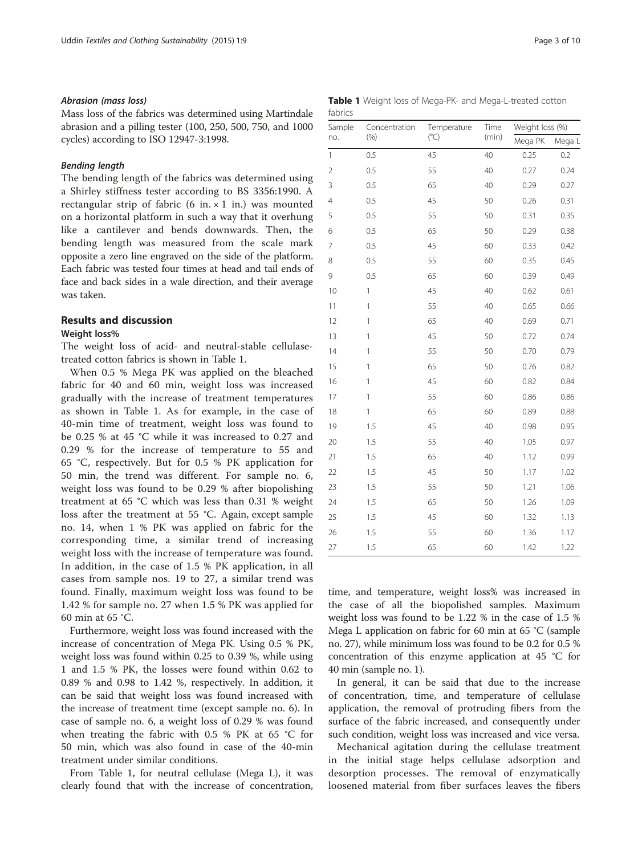#### Abrasion (mass loss)

Mass loss of the fabrics was determined using Martindale abrasion and a pilling tester (100, 250, 500, 750, and 1000 cycles) according to ISO 12947-3:1998.

#### Bending length

The bending length of the fabrics was determined using a Shirley stiffness tester according to BS 3356:1990. A rectangular strip of fabric (6 in.  $\times$  1 in.) was mounted on a horizontal platform in such a way that it overhung like a cantilever and bends downwards. Then, the bending length was measured from the scale mark opposite a zero line engraved on the side of the platform. Each fabric was tested four times at head and tail ends of face and back sides in a wale direction, and their average was taken.

# Results and discussion

#### Weight loss%

The weight loss of acid- and neutral-stable cellulasetreated cotton fabrics is shown in Table 1.

When 0.5 % Mega PK was applied on the bleached fabric for 40 and 60 min, weight loss was increased gradually with the increase of treatment temperatures as shown in Table 1. As for example, in the case of 40-min time of treatment, weight loss was found to be 0.25 % at 45 °C while it was increased to 0.27 and 0.29 % for the increase of temperature to 55 and 65 °C, respectively. But for 0.5 % PK application for 50 min, the trend was different. For sample no. 6, weight loss was found to be 0.29 % after biopolishing treatment at 65 °C which was less than 0.31 % weight loss after the treatment at 55 °C. Again, except sample no. 14, when 1 % PK was applied on fabric for the corresponding time, a similar trend of increasing weight loss with the increase of temperature was found. In addition, in the case of 1.5 % PK application, in all cases from sample nos. 19 to 27, a similar trend was found. Finally, maximum weight loss was found to be 1.42 % for sample no. 27 when 1.5 % PK was applied for 60 min at 65 °C.

Furthermore, weight loss was found increased with the increase of concentration of Mega PK. Using 0.5 % PK, weight loss was found within 0.25 to 0.39 %, while using 1 and 1.5 % PK, the losses were found within 0.62 to 0.89 % and 0.98 to 1.42 %, respectively. In addition, it can be said that weight loss was found increased with the increase of treatment time (except sample no. 6). In case of sample no. 6, a weight loss of 0.29 % was found when treating the fabric with 0.5 % PK at 65 °C for 50 min, which was also found in case of the 40-min treatment under similar conditions.

From Table 1, for neutral cellulase (Mega L), it was clearly found that with the increase of concentration,

|         |  |  | Table 1 Weight loss of Mega-PK- and Mega-L-treated cotton |  |
|---------|--|--|-----------------------------------------------------------|--|
| fabrics |  |  |                                                           |  |

| Sample         | Concentration | Temperature  | Time  | Weight loss (%) |        |  |
|----------------|---------------|--------------|-------|-----------------|--------|--|
| no.            | (% )          | $(^\circ C)$ | (min) | Mega PK         | Mega L |  |
| $\mathbf{1}$   | 0.5           | 45           | 40    | 0.25            | 0.2    |  |
| $\overline{2}$ | 0.5           | 55           | 40    | 0.27            | 0.24   |  |
| 3              | 0.5           | 65           | 40    | 0.29            | 0.27   |  |
| $\overline{4}$ | 0.5           | 45           | 50    | 0.26            | 0.31   |  |
| 5              | 0.5           | 55           | 50    | 0.31            | 0.35   |  |
| 6              | 0.5           | 65           | 50    | 0.29            | 0.38   |  |
| 7              | 0.5           | 45           | 60    | 0.33            | 0.42   |  |
| 8              | 0.5           | 55           | 60    | 0.35            | 0.45   |  |
| 9              | 0.5           | 65           | 60    | 0.39            | 0.49   |  |
| 10             | $\mathbf{1}$  | 45           | 40    | 0.62            | 0.61   |  |
| 11             | $\mathbf{1}$  | 55           | 40    | 0.65            | 0.66   |  |
| 12             | 1             | 65           | 40    | 0.69            | 0.71   |  |
| 13             | $\mathbf{1}$  | 45           | 50    | 0.72            | 0.74   |  |
| 14             | $\mathbf{1}$  | 55           | 50    | 0.70            | 0.79   |  |
| 15             | $\mathbf{1}$  | 65           | 50    | 0.76            | 0.82   |  |
| 16             | $\mathbf{1}$  | 45           | 60    | 0.82            | 0.84   |  |
| 17             | $\mathbf{1}$  | 55           | 60    | 0.86            | 0.86   |  |
| 18             | $\mathbf{1}$  | 65           | 60    | 0.89            | 0.88   |  |
| 19             | 1.5           | 45           | 40    | 0.98            | 0.95   |  |
| 20             | 1.5           | 55           | 40    | 1.05            | 0.97   |  |
| 21             | 1.5           | 65           | 40    | 1.12            | 0.99   |  |
| 22             | 1.5           | 45           | 50    | 1.17            | 1.02   |  |
| 23             | 1.5           | 55           | 50    | 1.21            | 1.06   |  |
| 24             | 1.5           | 65           | 50    | 1.26            | 1.09   |  |
| 25             | 1.5           | 45           | 60    | 1.32            | 1.13   |  |
| 26             | 1.5           | 55           | 60    | 1.36            | 1.17   |  |
| 27             | 1.5           | 65           | 60    | 1.42            | 1.22   |  |

time, and temperature, weight loss% was increased in the case of all the biopolished samples. Maximum weight loss was found to be 1.22 % in the case of 1.5 % Mega L application on fabric for 60 min at 65 °C (sample no. 27), while minimum loss was found to be 0.2 for 0.5 % concentration of this enzyme application at 45 °C for 40 min (sample no. 1).

In general, it can be said that due to the increase of concentration, time, and temperature of cellulase application, the removal of protruding fibers from the surface of the fabric increased, and consequently under such condition, weight loss was increased and vice versa.

Mechanical agitation during the cellulase treatment in the initial stage helps cellulase adsorption and desorption processes. The removal of enzymatically loosened material from fiber surfaces leaves the fibers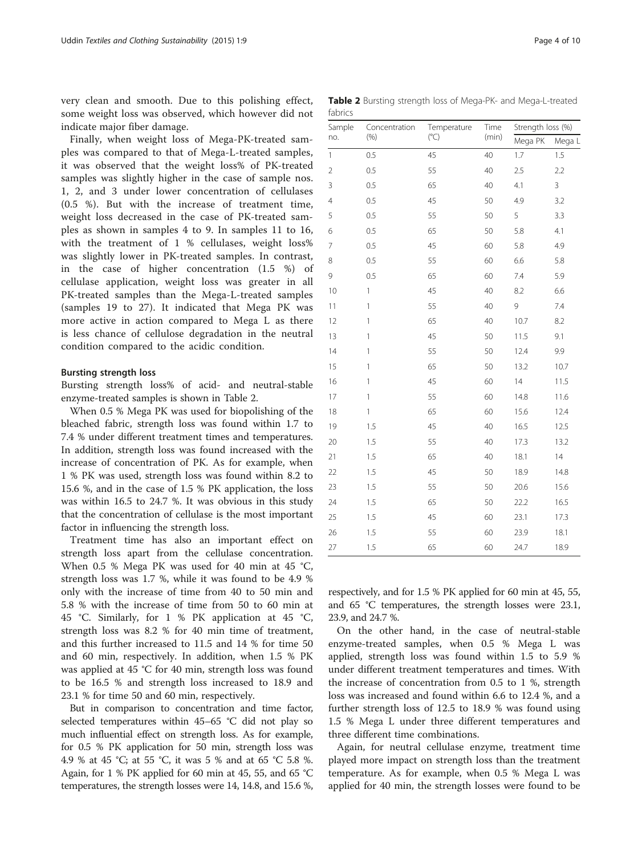<span id="page-3-0"></span>very clean and smooth. Due to this polishing effect, some weight loss was observed, which however did not indicate major fiber damage.

Finally, when weight loss of Mega-PK-treated samples was compared to that of Mega-L-treated samples, it was observed that the weight loss% of PK-treated samples was slightly higher in the case of sample nos. 1, 2, and 3 under lower concentration of cellulases (0.5 %). But with the increase of treatment time, weight loss decreased in the case of PK-treated samples as shown in samples 4 to 9. In samples 11 to 16, with the treatment of 1 % cellulases, weight loss% was slightly lower in PK-treated samples. In contrast, in the case of higher concentration (1.5 %) of cellulase application, weight loss was greater in all PK-treated samples than the Mega-L-treated samples (samples 19 to 27). It indicated that Mega PK was more active in action compared to Mega L as there is less chance of cellulose degradation in the neutral condition compared to the acidic condition.

#### Bursting strength loss

Bursting strength loss% of acid- and neutral-stable enzyme-treated samples is shown in Table 2.

When 0.5 % Mega PK was used for biopolishing of the bleached fabric, strength loss was found within 1.7 to 7.4 % under different treatment times and temperatures. In addition, strength loss was found increased with the increase of concentration of PK. As for example, when 1 % PK was used, strength loss was found within 8.2 to 15.6 %, and in the case of 1.5 % PK application, the loss was within 16.5 to 24.7 %. It was obvious in this study that the concentration of cellulase is the most important factor in influencing the strength loss.

Treatment time has also an important effect on strength loss apart from the cellulase concentration. When 0.5 % Mega PK was used for 40 min at 45 °C, strength loss was 1.7 %, while it was found to be 4.9 % only with the increase of time from 40 to 50 min and 5.8 % with the increase of time from 50 to 60 min at 45 °C. Similarly, for 1 % PK application at 45 °C, strength loss was 8.2 % for 40 min time of treatment, and this further increased to 11.5 and 14 % for time 50 and 60 min, respectively. In addition, when 1.5 % PK was applied at 45 °C for 40 min, strength loss was found to be 16.5 % and strength loss increased to 18.9 and 23.1 % for time 50 and 60 min, respectively.

But in comparison to concentration and time factor, selected temperatures within 45–65 °C did not play so much influential effect on strength loss. As for example, for 0.5 % PK application for 50 min, strength loss was 4.9 % at 45 °C; at 55 °C, it was 5 % and at 65 °C 5.8 %. Again, for 1 % PK applied for 60 min at 45, 55, and 65 °C temperatures, the strength losses were 14, 14.8, and 15.6 %,

Table 2 Bursting strength loss of Mega-PK- and Mega-L-treated fabrics

| Sample         | Concentration             | Temperature  | Time  | Strength loss (%) |        |  |
|----------------|---------------------------|--------------|-------|-------------------|--------|--|
| no.            | (% )                      | $(^\circ C)$ | (min) | Mega PK           | Mega L |  |
| $\mathbf{1}$   | 0.5                       | 45           | 40    | 1.7               | 1.5    |  |
| $\overline{2}$ | 0.5                       | 55           | 40    | 2.5               | 2.2    |  |
| 3              | 0.5                       | 65           | 40    | 4.1               | 3      |  |
| $\overline{4}$ | 0.5                       | 45           | 50    | 4.9               | 3.2    |  |
| 5              | 0.5                       | 55           | 50    | 5                 | 3.3    |  |
| 6              | 0.5                       | 65           | 50    | 5.8               | 4.1    |  |
| $\overline{7}$ | 0.5                       | 45           | 60    | 5.8               | 4.9    |  |
| 8              | 0.5                       | 55           | 60    | 6.6               | 5.8    |  |
| 9              | 0.5                       | 65           | 60    | 7.4               | 5.9    |  |
| 10             | $\mathbf{1}$              | 45           | 40    | 8.2               | 6.6    |  |
| 11             | $\ensuremath{\mathsf{1}}$ | 55           | 40    | 9                 | 7.4    |  |
| 12             | 1                         | 65           | 40    | 10.7              | 8.2    |  |
| 13             | $\mathbf{1}$              | 45           | 50    | 11.5              | 9.1    |  |
| 14             | $\mathbf{1}$              | 55           | 50    | 12.4              | 9.9    |  |
| 15             | 1                         | 65           | 50    | 13.2              | 10.7   |  |
| 16             | $\mathbf{1}$              | 45           | 60    | 14                | 11.5   |  |
| 17             | $\mathbf{1}$              | 55           | 60    | 14.8              | 11.6   |  |
| 18             | $\mathbf{1}$              | 65           | 60    | 15.6              | 12.4   |  |
| 19             | 1.5                       | 45           | 40    | 16.5              | 12.5   |  |
| 20             | 1.5                       | 55           | 40    | 17.3              | 13.2   |  |
| 21             | 1.5                       | 65           | 40    | 18.1              | 14     |  |
| 22             | 1.5                       | 45           | 50    | 18.9              | 14.8   |  |
| 23             | 1.5                       | 55           | 50    | 20.6              | 15.6   |  |
| 24             | 1.5                       | 65           | 50    | 22.2              | 16.5   |  |
| 25             | 1.5                       | 45           | 60    | 23.1              | 17.3   |  |
| 26             | 1.5                       | 55           | 60    | 23.9              | 18.1   |  |
| 27             | 1.5                       | 65           | 60    | 24.7              | 18.9   |  |

respectively, and for 1.5 % PK applied for 60 min at 45, 55, and 65 °C temperatures, the strength losses were 23.1, 23.9, and 24.7 %.

On the other hand, in the case of neutral-stable enzyme-treated samples, when 0.5 % Mega L was applied, strength loss was found within 1.5 to 5.9 % under different treatment temperatures and times. With the increase of concentration from 0.5 to 1 %, strength loss was increased and found within 6.6 to 12.4 %, and a further strength loss of 12.5 to 18.9 % was found using 1.5 % Mega L under three different temperatures and three different time combinations.

Again, for neutral cellulase enzyme, treatment time played more impact on strength loss than the treatment temperature. As for example, when 0.5 % Mega L was applied for 40 min, the strength losses were found to be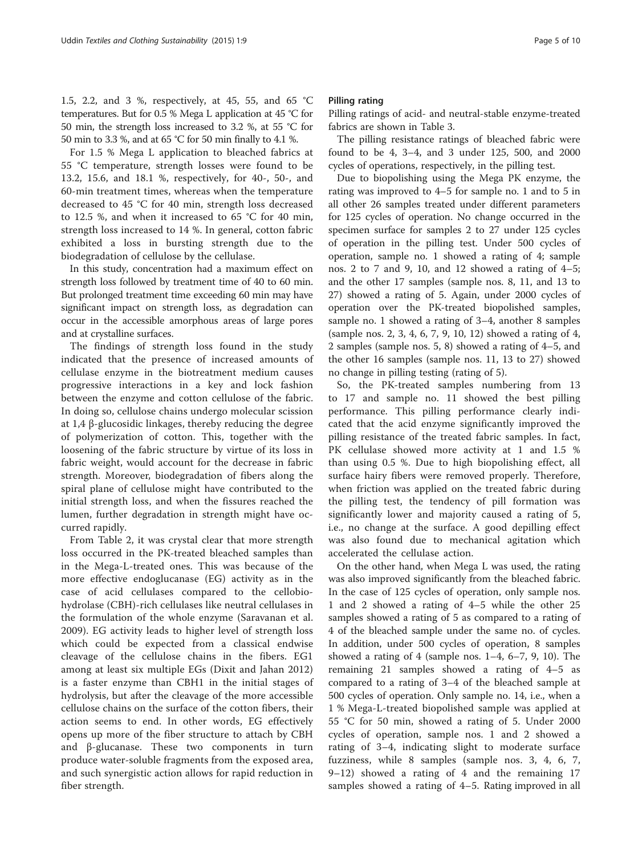1.5, 2.2, and 3 %, respectively, at 45, 55, and 65 °C temperatures. But for 0.5 % Mega L application at 45 °C for 50 min, the strength loss increased to 3.2 %, at 55 °C for 50 min to 3.3 %, and at 65 °C for 50 min finally to 4.1 %.

For 1.5 % Mega L application to bleached fabrics at 55 °C temperature, strength losses were found to be 13.2, 15.6, and 18.1 %, respectively, for 40-, 50-, and 60-min treatment times, whereas when the temperature decreased to 45 °C for 40 min, strength loss decreased to 12.5 %, and when it increased to 65 °C for 40 min, strength loss increased to 14 %. In general, cotton fabric exhibited a loss in bursting strength due to the biodegradation of cellulose by the cellulase.

In this study, concentration had a maximum effect on strength loss followed by treatment time of 40 to 60 min. But prolonged treatment time exceeding 60 min may have significant impact on strength loss, as degradation can occur in the accessible amorphous areas of large pores and at crystalline surfaces.

The findings of strength loss found in the study indicated that the presence of increased amounts of cellulase enzyme in the biotreatment medium causes progressive interactions in a key and lock fashion between the enzyme and cotton cellulose of the fabric. In doing so, cellulose chains undergo molecular scission at 1,4 β-glucosidic linkages, thereby reducing the degree of polymerization of cotton. This, together with the loosening of the fabric structure by virtue of its loss in fabric weight, would account for the decrease in fabric strength. Moreover, biodegradation of fibers along the spiral plane of cellulose might have contributed to the initial strength loss, and when the fissures reached the lumen, further degradation in strength might have occurred rapidly.

From Table [2](#page-3-0), it was crystal clear that more strength loss occurred in the PK-treated bleached samples than in the Mega-L-treated ones. This was because of the more effective endoglucanase (EG) activity as in the case of acid cellulases compared to the cellobiohydrolase (CBH)-rich cellulases like neutral cellulases in the formulation of the whole enzyme (Saravanan et al. [2009\)](#page-9-0). EG activity leads to higher level of strength loss which could be expected from a classical endwise cleavage of the cellulose chains in the fibers. EG1 among at least six multiple EGs (Dixit and Jahan [2012](#page-9-0)) is a faster enzyme than CBH1 in the initial stages of hydrolysis, but after the cleavage of the more accessible cellulose chains on the surface of the cotton fibers, their action seems to end. In other words, EG effectively opens up more of the fiber structure to attach by CBH and β-glucanase. These two components in turn produce water-soluble fragments from the exposed area, and such synergistic action allows for rapid reduction in fiber strength.

#### Pilling rating

Pilling ratings of acid- and neutral-stable enzyme-treated fabrics are shown in Table [3](#page-5-0).

The pilling resistance ratings of bleached fabric were found to be 4, 3–4, and 3 under 125, 500, and 2000 cycles of operations, respectively, in the pilling test.

Due to biopolishing using the Mega PK enzyme, the rating was improved to 4–5 for sample no. 1 and to 5 in all other 26 samples treated under different parameters for 125 cycles of operation. No change occurred in the specimen surface for samples 2 to 27 under 125 cycles of operation in the pilling test. Under 500 cycles of operation, sample no. 1 showed a rating of 4; sample nos. 2 to 7 and 9, 10, and 12 showed a rating of 4–5; and the other 17 samples (sample nos. 8, 11, and 13 to 27) showed a rating of 5. Again, under 2000 cycles of operation over the PK-treated biopolished samples, sample no. 1 showed a rating of 3–4, another 8 samples (sample nos. 2, 3, 4, 6, 7, 9, 10, 12) showed a rating of 4, 2 samples (sample nos. 5, 8) showed a rating of 4–5, and the other 16 samples (sample nos. 11, 13 to 27) showed no change in pilling testing (rating of 5).

So, the PK-treated samples numbering from 13 to 17 and sample no. 11 showed the best pilling performance. This pilling performance clearly indicated that the acid enzyme significantly improved the pilling resistance of the treated fabric samples. In fact, PK cellulase showed more activity at 1 and 1.5 % than using 0.5 %. Due to high biopolishing effect, all surface hairy fibers were removed properly. Therefore, when friction was applied on the treated fabric during the pilling test, the tendency of pill formation was significantly lower and majority caused a rating of 5, i.e., no change at the surface. A good depilling effect was also found due to mechanical agitation which accelerated the cellulase action.

On the other hand, when Mega L was used, the rating was also improved significantly from the bleached fabric. In the case of 125 cycles of operation, only sample nos. 1 and 2 showed a rating of 4–5 while the other 25 samples showed a rating of 5 as compared to a rating of 4 of the bleached sample under the same no. of cycles. In addition, under 500 cycles of operation, 8 samples showed a rating of 4 (sample nos. 1–4, 6–7, 9, 10). The remaining 21 samples showed a rating of 4–5 as compared to a rating of 3–4 of the bleached sample at 500 cycles of operation. Only sample no. 14, i.e., when a 1 % Mega-L-treated biopolished sample was applied at 55 °C for 50 min, showed a rating of 5. Under 2000 cycles of operation, sample nos. 1 and 2 showed a rating of 3–4, indicating slight to moderate surface fuzziness, while 8 samples (sample nos. 3, 4, 6, 7, 9–12) showed a rating of 4 and the remaining 17 samples showed a rating of 4–5. Rating improved in all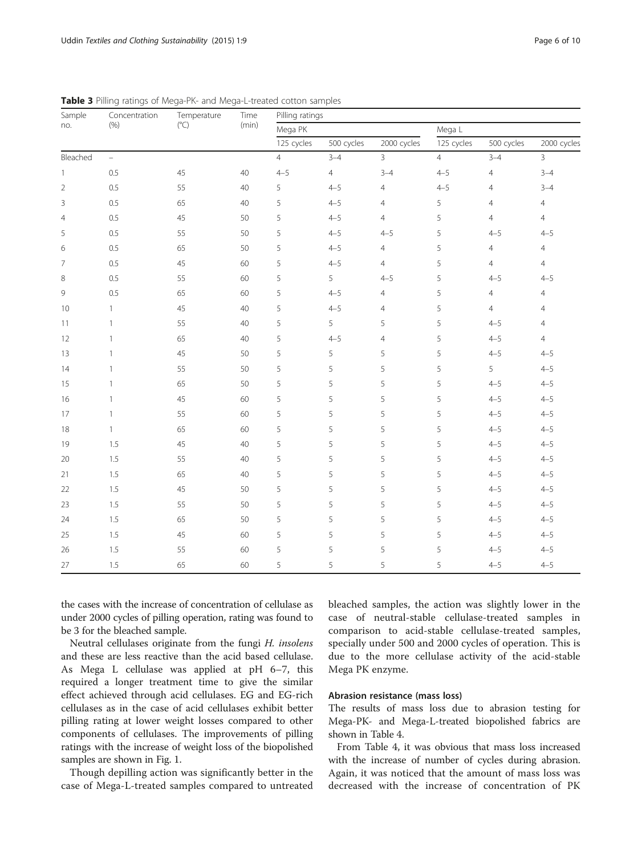| Sample         | Concentration | Temperature   | Time  | of mega rin and mega E treated cotton samples<br>Pilling ratings |                |                |                |                |                |  |  |
|----------------|---------------|---------------|-------|------------------------------------------------------------------|----------------|----------------|----------------|----------------|----------------|--|--|
| no.            | (% )          | $(^{\circ}C)$ | (min) | Mega PK                                                          |                |                | Mega L         |                |                |  |  |
|                |               |               |       | 125 cycles                                                       | 500 cycles     | 2000 cycles    | 125 cycles     | 500 cycles     | 2000 cycles    |  |  |
| Bleached       | $\equiv$      |               |       | $\overline{4}$                                                   | $3 - 4$        | $\overline{3}$ | $\overline{4}$ | $3 - 4$        | 3              |  |  |
| 1              | 0.5           | 45            | 40    | $4 - 5$                                                          | $\overline{4}$ | $3 - 4$        | $4 - 5$        | $\overline{4}$ | $3 - 4$        |  |  |
| $\overline{2}$ | 0.5           | 55            | 40    | 5                                                                | $4 - 5$        | $\overline{4}$ | $4 - 5$        | $\overline{4}$ | $3 - 4$        |  |  |
| 3              | 0.5           | 65            | 40    | 5                                                                | $4 - 5$        | $\overline{4}$ | 5              | $\overline{4}$ | $\overline{4}$ |  |  |
| $\overline{4}$ | 0.5           | 45            | 50    | 5                                                                | $4 - 5$        | $\overline{4}$ | 5              | $\overline{4}$ | $\overline{4}$ |  |  |
| 5              | 0.5           | 55            | 50    | 5                                                                | $4 - 5$        | $4 - 5$        | 5              | $4 - 5$        | $4 - 5$        |  |  |
| 6              | 0.5           | 65            | 50    | 5                                                                | $4 - 5$        | $\overline{4}$ | 5              | $\overline{4}$ | $\overline{4}$ |  |  |
| $\overline{7}$ | 0.5           | 45            | 60    | 5                                                                | $4 - 5$        | $\overline{4}$ | 5              | $\overline{4}$ | $\overline{4}$ |  |  |
| 8              | 0.5           | 55            | 60    | 5                                                                | 5              | $4 - 5$        | 5              | $4 - 5$        | $4 - 5$        |  |  |
| 9              | 0.5           | 65            | 60    | 5                                                                | $4 - 5$        | $\overline{4}$ | 5              | $\overline{4}$ | $\overline{4}$ |  |  |
| 10             | $\mathbf{1}$  | 45            | 40    | 5                                                                | $4 - 5$        | $\overline{4}$ | 5              | $\overline{4}$ | $\overline{4}$ |  |  |
| 11             | $\mathbf{1}$  | 55            | 40    | 5                                                                | 5              | 5              | 5              | $4 - 5$        | $\overline{4}$ |  |  |
| 12             | $\mathbf{1}$  | 65            | 40    | 5                                                                | $4 - 5$        | $\overline{4}$ | 5              | $4 - 5$        | $\overline{4}$ |  |  |
| 13             | $\mathbf{1}$  | 45            | 50    | 5                                                                | 5              | 5              | 5              | $4 - 5$        | $4 - 5$        |  |  |
| 14             | $\mathbf{1}$  | 55            | 50    | 5                                                                | 5              | 5              | 5              | 5              | $4 - 5$        |  |  |
| 15             | $\mathbf{1}$  | 65            | 50    | 5                                                                | 5              | 5              | 5              | $4 - 5$        | $4 - 5$        |  |  |
| 16             | $\mathbf{1}$  | 45            | 60    | 5                                                                | 5              | 5              | 5              | $4 - 5$        | $4 - 5$        |  |  |
| 17             | $\mathbf{1}$  | 55            | 60    | 5                                                                | 5              | 5              | 5              | $4 - 5$        | $4 - 5$        |  |  |
| 18             | $\mathbf{1}$  | 65            | 60    | 5                                                                | 5              | 5              | 5              | $4 - 5$        | $4 - 5$        |  |  |
| 19             | 1.5           | 45            | 40    | 5                                                                | 5              | 5              | 5              | $4 - 5$        | $4 - 5$        |  |  |
| 20             | 1.5           | 55            | 40    | 5                                                                | 5              | 5              | 5              | $4 - 5$        | $4 - 5$        |  |  |
| 21             | 1.5           | 65            | 40    | 5                                                                | 5              | 5              | 5              | $4 - 5$        | $4 - 5$        |  |  |
| 22             | 1.5           | 45            | 50    | 5                                                                | 5              | 5              | 5              | $4 - 5$        | $4 - 5$        |  |  |
| 23             | 1.5           | 55            | 50    | 5                                                                | 5              | 5              | 5              | $4 - 5$        | $4 - 5$        |  |  |
| 24             | 1.5           | 65            | 50    | 5                                                                | 5              | 5              | 5              | $4 - 5$        | $4 - 5$        |  |  |
| 25             | 1.5           | 45            | 60    | 5                                                                | 5              | 5              | 5              | $4 - 5$        | $4 - 5$        |  |  |
| 26             | 1.5           | 55            | 60    | 5                                                                | 5              | 5              | 5              | $4 - 5$        | $4 - 5$        |  |  |
| 27             | 1.5           | 65            | 60    | 5                                                                | 5              | 5              | 5              | $4 - 5$        | $4 - 5$        |  |  |

<span id="page-5-0"></span>Table 3 Pilling ratings of Mega-PK- and Mega-L-treated cotton samples

the cases with the increase of concentration of cellulase as under 2000 cycles of pilling operation, rating was found to be 3 for the bleached sample.

Neutral cellulases originate from the fungi H. insolens and these are less reactive than the acid based cellulase. As Mega L cellulase was applied at pH 6–7, this required a longer treatment time to give the similar effect achieved through acid cellulases. EG and EG-rich cellulases as in the case of acid cellulases exhibit better pilling rating at lower weight losses compared to other components of cellulases. The improvements of pilling ratings with the increase of weight loss of the biopolished samples are shown in Fig. [1](#page-6-0).

Though depilling action was significantly better in the case of Mega-L-treated samples compared to untreated bleached samples, the action was slightly lower in the case of neutral-stable cellulase-treated samples in comparison to acid-stable cellulase-treated samples, specially under 500 and 2000 cycles of operation. This is due to the more cellulase activity of the acid-stable Mega PK enzyme.

# Abrasion resistance (mass loss)

The results of mass loss due to abrasion testing for Mega-PK- and Mega-L-treated biopolished fabrics are shown in Table [4](#page-7-0).

From Table [4](#page-7-0), it was obvious that mass loss increased with the increase of number of cycles during abrasion. Again, it was noticed that the amount of mass loss was decreased with the increase of concentration of PK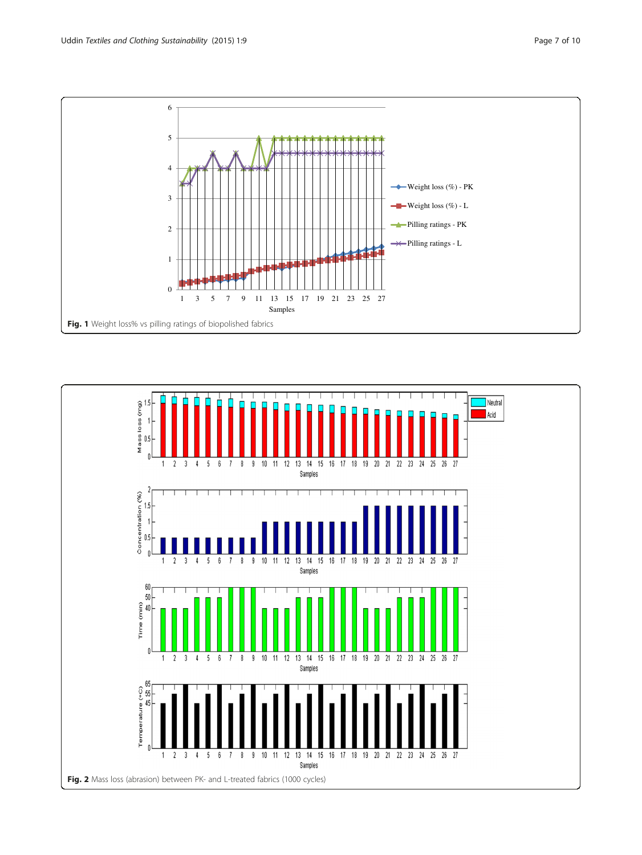0

<u>han iliku k</u>

Fig. 1 Weight loss% vs pilling ratings of biopolished fabrics

1

<span id="page-6-0"></span>

, 44



1 3 5 7 9 11 13 15 17 19 21 23 25 27 Samples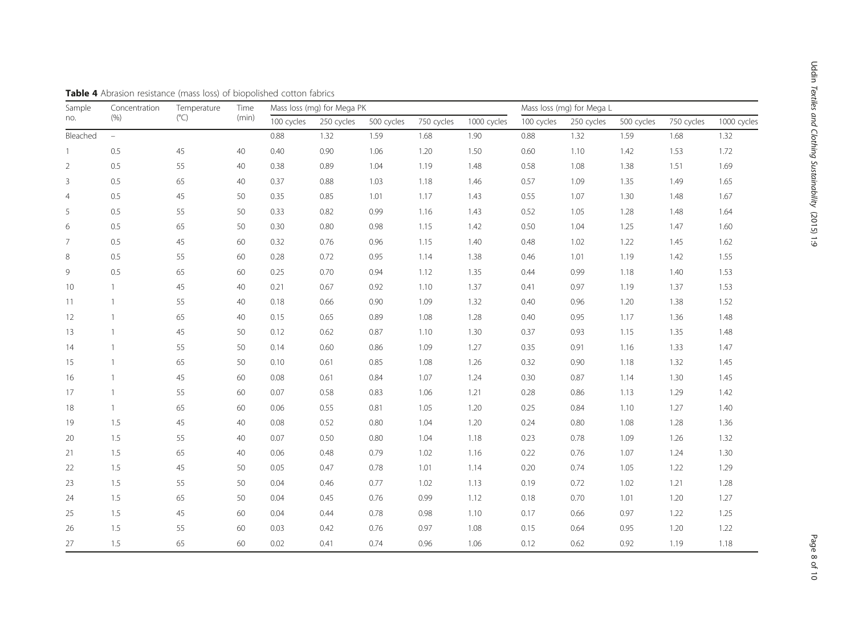| Sample         | Concentration  | Temperature<br>$(^{\circ}C)$ | Time  | Mass loss (mg) for Mega PK |            |            |            | Mass loss (mg) for Mega L |            |            |            |            |             |
|----------------|----------------|------------------------------|-------|----------------------------|------------|------------|------------|---------------------------|------------|------------|------------|------------|-------------|
| no.            | (% )           |                              | (min) | 100 cycles                 | 250 cycles | 500 cycles | 750 cycles | 1000 cycles               | 100 cycles | 250 cycles | 500 cycles | 750 cycles | 1000 cycles |
| Bleached       | $\equiv$       |                              |       | 0.88                       | 1.32       | 1.59       | 1.68       | 1.90                      | 0.88       | 1.32       | 1.59       | 1.68       | 1.32        |
| $\overline{1}$ | 0.5            | 45                           | 40    | 0.40                       | 0.90       | 1.06       | 1.20       | 1.50                      | 0.60       | 1.10       | 1.42       | 1.53       | 1.72        |
| $\overline{2}$ | 0.5            | 55                           | 40    | 0.38                       | 0.89       | 1.04       | 1.19       | 1.48                      | 0.58       | 1.08       | 1.38       | 1.51       | 1.69        |
| $\mathsf 3$    | 0.5            | 65                           | 40    | 0.37                       | 0.88       | 1.03       | 1.18       | 1.46                      | 0.57       | 1.09       | 1.35       | 1.49       | 1.65        |
| $\overline{4}$ | 0.5            | 45                           | 50    | 0.35                       | 0.85       | 1.01       | 1.17       | 1.43                      | 0.55       | 1.07       | 1.30       | 1.48       | 1.67        |
| 5              | 0.5            | 55                           | 50    | 0.33                       | 0.82       | 0.99       | 1.16       | 1.43                      | 0.52       | 1.05       | 1.28       | 1.48       | 1.64        |
| 6              | 0.5            | 65                           | 50    | 0.30                       | 0.80       | 0.98       | 1.15       | 1.42                      | 0.50       | 1.04       | 1.25       | 1.47       | 1.60        |
| $\overline{7}$ | 0.5            | 45                           | 60    | 0.32                       | 0.76       | 0.96       | 1.15       | 1.40                      | 0.48       | 1.02       | 1.22       | 1.45       | 1.62        |
| $\,8\,$        | 0.5            | 55                           | 60    | 0.28                       | 0.72       | 0.95       | 1.14       | 1.38                      | 0.46       | 1.01       | 1.19       | 1.42       | 1.55        |
| 9              | 0.5            | 65                           | 60    | 0.25                       | 0.70       | 0.94       | 1.12       | 1.35                      | 0.44       | 0.99       | 1.18       | 1.40       | 1.53        |
| 10             | $\mathbf{1}$   | 45                           | 40    | 0.21                       | 0.67       | 0.92       | 1.10       | 1.37                      | 0.41       | 0.97       | 1.19       | 1.37       | 1.53        |
| 11             | $\overline{1}$ | 55                           | 40    | 0.18                       | 0.66       | 0.90       | 1.09       | 1.32                      | 0.40       | 0.96       | 1.20       | 1.38       | 1.52        |
| 12             | $\overline{1}$ | 65                           | 40    | 0.15                       | 0.65       | 0.89       | 1.08       | 1.28                      | 0.40       | 0.95       | 1.17       | 1.36       | 1.48        |
| 13             | $\overline{1}$ | 45                           | 50    | 0.12                       | 0.62       | 0.87       | 1.10       | 1.30                      | 0.37       | 0.93       | 1.15       | 1.35       | 1.48        |
| 14             | $\overline{1}$ | 55                           | 50    | 0.14                       | 0.60       | 0.86       | 1.09       | 1.27                      | 0.35       | 0.91       | 1.16       | 1.33       | 1.47        |
| 15             | $\overline{1}$ | 65                           | 50    | 0.10                       | 0.61       | 0.85       | 1.08       | 1.26                      | 0.32       | 0.90       | 1.18       | 1.32       | 1.45        |
| 16             | $\overline{1}$ | 45                           | 60    | 0.08                       | 0.61       | 0.84       | 1.07       | 1.24                      | 0.30       | 0.87       | 1.14       | 1.30       | 1.45        |
| 17             | $\overline{1}$ | 55                           | 60    | 0.07                       | 0.58       | 0.83       | 1.06       | 1.21                      | 0.28       | 0.86       | 1.13       | 1.29       | 1.42        |
| 18             | $\mathbf{1}$   | 65                           | 60    | 0.06                       | 0.55       | 0.81       | 1.05       | 1.20                      | 0.25       | 0.84       | 1.10       | 1.27       | 1.40        |
| 19             | 1.5            | 45                           | 40    | 0.08                       | 0.52       | 0.80       | 1.04       | 1.20                      | 0.24       | 0.80       | 1.08       | 1.28       | 1.36        |
| 20             | 1.5            | 55                           | 40    | 0.07                       | 0.50       | 0.80       | 1.04       | 1.18                      | 0.23       | 0.78       | 1.09       | 1.26       | 1.32        |
| 21             | 1.5            | 65                           | 40    | 0.06                       | 0.48       | 0.79       | 1.02       | 1.16                      | 0.22       | 0.76       | 1.07       | 1.24       | 1.30        |
| 22             | 1.5            | 45                           | 50    | 0.05                       | 0.47       | 0.78       | 1.01       | 1.14                      | 0.20       | 0.74       | 1.05       | 1.22       | 1.29        |
| 23             | 1.5            | 55                           | 50    | 0.04                       | 0.46       | 0.77       | 1.02       | 1.13                      | 0.19       | 0.72       | 1.02       | 1.21       | 1.28        |
| 24             | 1.5            | 65                           | 50    | 0.04                       | 0.45       | 0.76       | 0.99       | 1.12                      | 0.18       | 0.70       | 1.01       | 1.20       | 1.27        |
| 25             | 1.5            | 45                           | 60    | 0.04                       | 0.44       | 0.78       | 0.98       | 1.10                      | 0.17       | 0.66       | 0.97       | 1.22       | 1.25        |
| 26             | 1.5            | 55                           | 60    | 0.03                       | 0.42       | 0.76       | 0.97       | 1.08                      | 0.15       | 0.64       | 0.95       | 1.20       | 1.22        |
| 27             | 1.5            | 65                           | 60    | 0.02                       | 0.41       | 0.74       | 0.96       | 1.06                      | 0.12       | 0.62       | 0.92       | 1.19       | 1.18        |

<span id="page-7-0"></span>Table 4 Abrasion resistance (mass loss) of biopolished cotton fabrics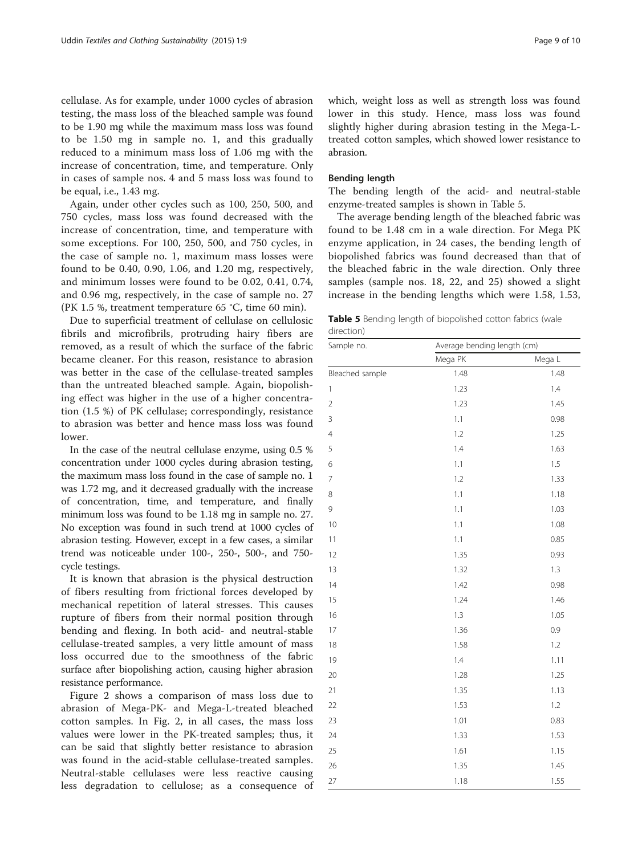cellulase. As for example, under 1000 cycles of abrasion testing, the mass loss of the bleached sample was found to be 1.90 mg while the maximum mass loss was found to be 1.50 mg in sample no. 1, and this gradually reduced to a minimum mass loss of 1.06 mg with the increase of concentration, time, and temperature. Only in cases of sample nos. 4 and 5 mass loss was found to be equal, i.e., 1.43 mg.

Again, under other cycles such as 100, 250, 500, and 750 cycles, mass loss was found decreased with the increase of concentration, time, and temperature with some exceptions. For 100, 250, 500, and 750 cycles, in the case of sample no. 1, maximum mass losses were found to be 0.40, 0.90, 1.06, and 1.20 mg, respectively, and minimum losses were found to be 0.02, 0.41, 0.74, and 0.96 mg, respectively, in the case of sample no. 27 (PK 1.5 %, treatment temperature 65 °C, time 60 min).

Due to superficial treatment of cellulase on cellulosic fibrils and microfibrils, protruding hairy fibers are removed, as a result of which the surface of the fabric became cleaner. For this reason, resistance to abrasion was better in the case of the cellulase-treated samples than the untreated bleached sample. Again, biopolishing effect was higher in the use of a higher concentration (1.5 %) of PK cellulase; correspondingly, resistance to abrasion was better and hence mass loss was found lower.

In the case of the neutral cellulase enzyme, using 0.5 % concentration under 1000 cycles during abrasion testing, the maximum mass loss found in the case of sample no. 1 was 1.72 mg, and it decreased gradually with the increase of concentration, time, and temperature, and finally minimum loss was found to be 1.18 mg in sample no. 27. No exception was found in such trend at 1000 cycles of abrasion testing. However, except in a few cases, a similar trend was noticeable under 100-, 250-, 500-, and 750 cycle testings.

It is known that abrasion is the physical destruction of fibers resulting from frictional forces developed by mechanical repetition of lateral stresses. This causes rupture of fibers from their normal position through bending and flexing. In both acid- and neutral-stable cellulase-treated samples, a very little amount of mass loss occurred due to the smoothness of the fabric surface after biopolishing action, causing higher abrasion resistance performance.

Figure [2](#page-6-0) shows a comparison of mass loss due to abrasion of Mega-PK- and Mega-L-treated bleached cotton samples. In Fig. [2](#page-6-0), in all cases, the mass loss values were lower in the PK-treated samples; thus, it can be said that slightly better resistance to abrasion was found in the acid-stable cellulase-treated samples. Neutral-stable cellulases were less reactive causing less degradation to cellulose; as a consequence of which, weight loss as well as strength loss was found lower in this study. Hence, mass loss was found slightly higher during abrasion testing in the Mega-Ltreated cotton samples, which showed lower resistance to abrasion.

#### Bending length

The bending length of the acid- and neutral-stable enzyme-treated samples is shown in Table 5.

The average bending length of the bleached fabric was found to be 1.48 cm in a wale direction. For Mega PK enzyme application, in 24 cases, the bending length of biopolished fabrics was found decreased than that of the bleached fabric in the wale direction. Only three samples (sample nos. 18, 22, and 25) showed a slight increase in the bending lengths which were 1.58, 1.53,

|            |  | <b>Table 5</b> Bending length of biopolished cotton fabrics (wale |  |  |
|------------|--|-------------------------------------------------------------------|--|--|
| direction) |  |                                                                   |  |  |

| Sample no.      | Average bending length (cm) |         |
|-----------------|-----------------------------|---------|
|                 | Mega PK                     | Mega L  |
| Bleached sample | 1.48                        | 1.48    |
| $\mathbf{1}$    | 1.23                        | $1.4\,$ |
| $\overline{2}$  | 1.23                        | 1.45    |
| 3               | 1.1                         | 0.98    |
| $\overline{4}$  | 1.2                         | 1.25    |
| 5               | 1.4                         | 1.63    |
| 6               | 1.1                         | 1.5     |
| 7               | 1.2                         | 1.33    |
| 8               | 1.1                         | 1.18    |
| 9               | 1.1                         | 1.03    |
| 10              | 1.1                         | 1.08    |
| 11              | 1.1                         | 0.85    |
| 12              | 1.35                        | 0.93    |
| 13              | 1.32                        | 1.3     |
| 14              | 1.42                        | 0.98    |
| 15              | 1.24                        | 1.46    |
| 16              | 1.3                         | 1.05    |
| 17              | 1.36                        | 0.9     |
| 18              | 1.58                        | 1.2     |
| 19              | 1.4                         | 1.11    |
| 20              | 1.28                        | 1.25    |
| 21              | 1.35                        | 1.13    |
| 22              | 1.53                        | 1.2     |
| 23              | 1.01                        | 0.83    |
| 24              | 1.33                        | 1.53    |
| 25              | 1.61                        | 1.15    |
| 26              | 1.35                        | 1.45    |
| 27              | 1.18                        | 1.55    |